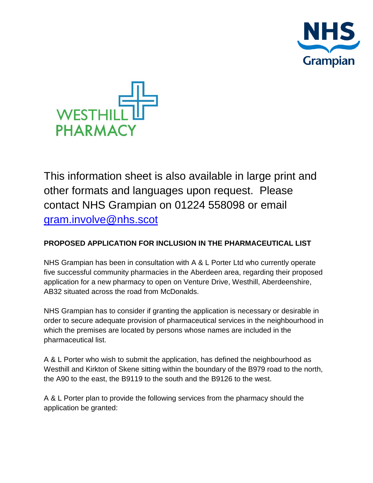



This information sheet is also available in large print and other formats and languages upon request. Please contact NHS Grampian on 01224 558098 or email [gram.involve@nhs.scot](mailto:gram.involve@nhs.scot)

## **PROPOSED APPLICATION FOR INCLUSION IN THE PHARMACEUTICAL LIST**

NHS Grampian has been in consultation with A & L Porter Ltd who currently operate five successful community pharmacies in the Aberdeen area, regarding their proposed application for a new pharmacy to open on Venture Drive, Westhill, Aberdeenshire, AB32 situated across the road from McDonalds.

NHS Grampian has to consider if granting the application is necessary or desirable in order to secure adequate provision of pharmaceutical services in the neighbourhood in which the premises are located by persons whose names are included in the pharmaceutical list.

A & L Porter who wish to submit the application, has defined the neighbourhood as Westhill and Kirkton of Skene sitting within the boundary of the B979 road to the north, the A90 to the east, the B9119 to the south and the B9126 to the west.

A & L Porter plan to provide the following services from the pharmacy should the application be granted: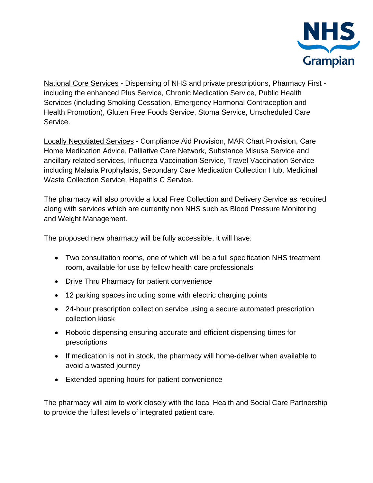

National Core Services - Dispensing of NHS and private prescriptions, Pharmacy First including the enhanced Plus Service, Chronic Medication Service, Public Health Services (including Smoking Cessation, Emergency Hormonal Contraception and Health Promotion), Gluten Free Foods Service, Stoma Service, Unscheduled Care Service.

Locally Negotiated Services - Compliance Aid Provision, MAR Chart Provision, Care Home Medication Advice, Palliative Care Network, Substance Misuse Service and ancillary related services, Influenza Vaccination Service, Travel Vaccination Service including Malaria Prophylaxis, Secondary Care Medication Collection Hub, Medicinal Waste Collection Service, Hepatitis C Service.

The pharmacy will also provide a local Free Collection and Delivery Service as required along with services which are currently non NHS such as Blood Pressure Monitoring and Weight Management.

The proposed new pharmacy will be fully accessible, it will have:

- Two consultation rooms, one of which will be a full specification NHS treatment room, available for use by fellow health care professionals
- Drive Thru Pharmacy for patient convenience
- 12 parking spaces including some with electric charging points
- 24-hour prescription collection service using a secure automated prescription collection kiosk
- Robotic dispensing ensuring accurate and efficient dispensing times for prescriptions
- If medication is not in stock, the pharmacy will home-deliver when available to avoid a wasted journey
- Extended opening hours for patient convenience

The pharmacy will aim to work closely with the local Health and Social Care Partnership to provide the fullest levels of integrated patient care.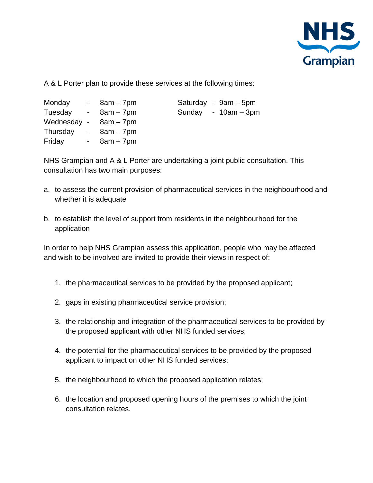

A & L Porter plan to provide these services at the following times:

| Monday                  | $-8am-7pm$      |  | Saturday - 9am - 5pm  |
|-------------------------|-----------------|--|-----------------------|
| Tuesday - 8am - 7pm     |                 |  | Sunday - $10am - 3pm$ |
| Wednesday - $8am - 7pm$ |                 |  |                       |
| Thursday - $8am - 7pm$  |                 |  |                       |
| Friday                  | $-$ 8am $-$ 7pm |  |                       |

NHS Grampian and A & L Porter are undertaking a joint public consultation. This consultation has two main purposes:

- a. to assess the current provision of pharmaceutical services in the neighbourhood and whether it is adequate
- b. to establish the level of support from residents in the neighbourhood for the application

In order to help NHS Grampian assess this application, people who may be affected and wish to be involved are invited to provide their views in respect of:

- 1. the pharmaceutical services to be provided by the proposed applicant;
- 2. gaps in existing pharmaceutical service provision;
- 3. the relationship and integration of the pharmaceutical services to be provided by the proposed applicant with other NHS funded services;
- 4. the potential for the pharmaceutical services to be provided by the proposed applicant to impact on other NHS funded services;
- 5. the neighbourhood to which the proposed application relates;
- 6. the location and proposed opening hours of the premises to which the joint consultation relates.